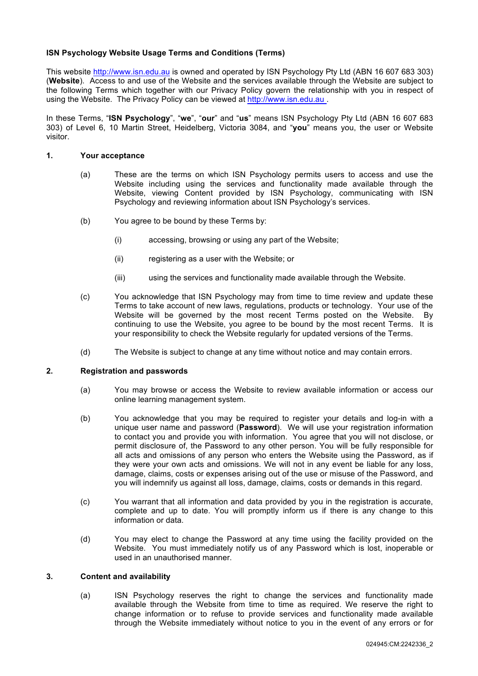# **ISN Psychology Website Usage Terms and Conditions (Terms)**

This website http://www.isn.edu.au is owned and operated by ISN Psychology Pty Ltd (ABN 16 607 683 303) (**Website**). Access to and use of the Website and the services available through the Website are subject to the following Terms which together with our Privacy Policy govern the relationship with you in respect of using the Website. The Privacy Policy can be viewed at http://www.isn.edu.au .

In these Terms, "**ISN Psychology**", "**we**", "**our**" and "**us**" means ISN Psychology Pty Ltd (ABN 16 607 683 303) of Level 6, 10 Martin Street, Heidelberg, Victoria 3084, and "**you**" means you, the user or Website visitor.

### **1. Your acceptance**

- (a) These are the terms on which ISN Psychology permits users to access and use the Website including using the services and functionality made available through the Website, viewing Content provided by ISN Psychology, communicating with ISN Psychology and reviewing information about ISN Psychology's services.
- (b) You agree to be bound by these Terms by:
	- (i) accessing, browsing or using any part of the Website;
	- (ii) registering as a user with the Website; or
	- (iii) using the services and functionality made available through the Website.
- (c) You acknowledge that ISN Psychology may from time to time review and update these Terms to take account of new laws, regulations, products or technology. Your use of the Website will be governed by the most recent Terms posted on the Website. By continuing to use the Website, you agree to be bound by the most recent Terms. It is your responsibility to check the Website regularly for updated versions of the Terms.
- (d) The Website is subject to change at any time without notice and may contain errors.

## **2. Registration and passwords**

- (a) You may browse or access the Website to review available information or access our online learning management system.
- (b) You acknowledge that you may be required to register your details and log-in with a unique user name and password (**Password**). We will use your registration information to contact you and provide you with information. You agree that you will not disclose, or permit disclosure of, the Password to any other person. You will be fully responsible for all acts and omissions of any person who enters the Website using the Password, as if they were your own acts and omissions. We will not in any event be liable for any loss, damage, claims, costs or expenses arising out of the use or misuse of the Password, and you will indemnify us against all loss, damage, claims, costs or demands in this regard.
- (c) You warrant that all information and data provided by you in the registration is accurate, complete and up to date. You will promptly inform us if there is any change to this information or data.
- (d) You may elect to change the Password at any time using the facility provided on the Website. You must immediately notify us of any Password which is lost, inoperable or used in an unauthorised manner.

# **3. Content and availability**

(a) ISN Psychology reserves the right to change the services and functionality made available through the Website from time to time as required. We reserve the right to change information or to refuse to provide services and functionality made available through the Website immediately without notice to you in the event of any errors or for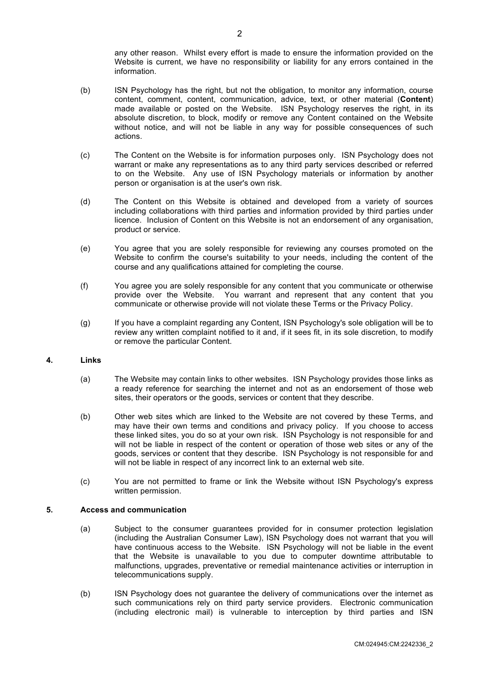any other reason. Whilst every effort is made to ensure the information provided on the Website is current, we have no responsibility or liability for any errors contained in the information.

- (b) ISN Psychology has the right, but not the obligation, to monitor any information, course content, comment, content, communication, advice, text, or other material (**Content**) made available or posted on the Website. ISN Psychology reserves the right, in its absolute discretion, to block, modify or remove any Content contained on the Website without notice, and will not be liable in any way for possible consequences of such actions.
- (c) The Content on the Website is for information purposes only. ISN Psychology does not warrant or make any representations as to any third party services described or referred to on the Website. Any use of ISN Psychology materials or information by another person or organisation is at the user's own risk.
- (d) The Content on this Website is obtained and developed from a variety of sources including collaborations with third parties and information provided by third parties under licence. Inclusion of Content on this Website is not an endorsement of any organisation, product or service.
- (e) You agree that you are solely responsible for reviewing any courses promoted on the Website to confirm the course's suitability to your needs, including the content of the course and any qualifications attained for completing the course.
- (f) You agree you are solely responsible for any content that you communicate or otherwise provide over the Website. You warrant and represent that any content that you communicate or otherwise provide will not violate these Terms or the Privacy Policy.
- (g) If you have a complaint regarding any Content, ISN Psychology's sole obligation will be to review any written complaint notified to it and, if it sees fit, in its sole discretion, to modify or remove the particular Content.

## **4. Links**

- (a) The Website may contain links to other websites. ISN Psychology provides those links as a ready reference for searching the internet and not as an endorsement of those web sites, their operators or the goods, services or content that they describe.
- (b) Other web sites which are linked to the Website are not covered by these Terms, and may have their own terms and conditions and privacy policy. If you choose to access these linked sites, you do so at your own risk. ISN Psychology is not responsible for and will not be liable in respect of the content or operation of those web sites or any of the goods, services or content that they describe. ISN Psychology is not responsible for and will not be liable in respect of any incorrect link to an external web site.
- (c) You are not permitted to frame or link the Website without ISN Psychology's express written permission.

## **5. Access and communication**

- (a) Subject to the consumer guarantees provided for in consumer protection legislation (including the Australian Consumer Law), ISN Psychology does not warrant that you will have continuous access to the Website. ISN Psychology will not be liable in the event that the Website is unavailable to you due to computer downtime attributable to malfunctions, upgrades, preventative or remedial maintenance activities or interruption in telecommunications supply.
- (b) ISN Psychology does not guarantee the delivery of communications over the internet as such communications rely on third party service providers. Electronic communication (including electronic mail) is vulnerable to interception by third parties and ISN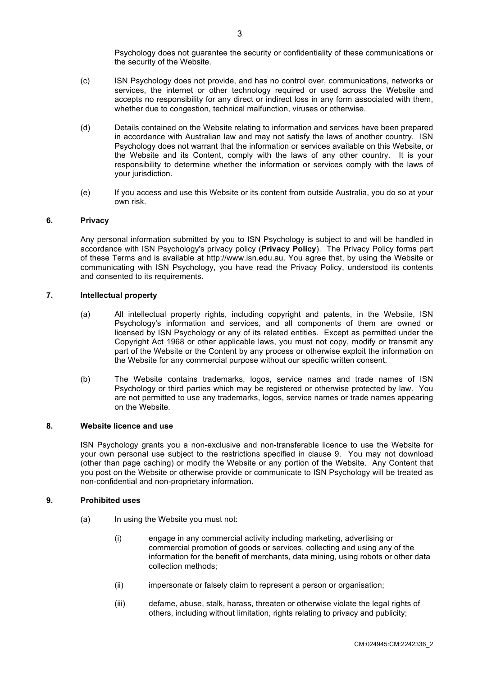Psychology does not guarantee the security or confidentiality of these communications or the security of the Website.

- (c) ISN Psychology does not provide, and has no control over, communications, networks or services, the internet or other technology required or used across the Website and accepts no responsibility for any direct or indirect loss in any form associated with them, whether due to congestion, technical malfunction, viruses or otherwise.
- (d) Details contained on the Website relating to information and services have been prepared in accordance with Australian law and may not satisfy the laws of another country. ISN Psychology does not warrant that the information or services available on this Website, or the Website and its Content, comply with the laws of any other country. It is your responsibility to determine whether the information or services comply with the laws of your jurisdiction.
- (e) If you access and use this Website or its content from outside Australia, you do so at your own risk.

## **6. Privacy**

Any personal information submitted by you to ISN Psychology is subject to and will be handled in accordance with ISN Psychology's privacy policy (**Privacy Policy**). The Privacy Policy forms part of these Terms and is available at http://www.isn.edu.au. You agree that, by using the Website or communicating with ISN Psychology, you have read the Privacy Policy, understood its contents and consented to its requirements.

### **7. Intellectual property**

- (a) All intellectual property rights, including copyright and patents, in the Website, ISN Psychology's information and services, and all components of them are owned or licensed by ISN Psychology or any of its related entities. Except as permitted under the Copyright Act 1968 or other applicable laws, you must not copy, modify or transmit any part of the Website or the Content by any process or otherwise exploit the information on the Website for any commercial purpose without our specific written consent.
- (b) The Website contains trademarks, logos, service names and trade names of ISN Psychology or third parties which may be registered or otherwise protected by law. You are not permitted to use any trademarks, logos, service names or trade names appearing on the Website.

### **8. Website licence and use**

ISN Psychology grants you a non-exclusive and non-transferable licence to use the Website for your own personal use subject to the restrictions specified in clause 9. You may not download (other than page caching) or modify the Website or any portion of the Website. Any Content that you post on the Website or otherwise provide or communicate to ISN Psychology will be treated as non-confidential and non-proprietary information.

#### **9. Prohibited uses**

- (a) In using the Website you must not:
	- (i) engage in any commercial activity including marketing, advertising or commercial promotion of goods or services, collecting and using any of the information for the benefit of merchants, data mining, using robots or other data collection methods;
	- (ii) impersonate or falsely claim to represent a person or organisation;
	- (iii) defame, abuse, stalk, harass, threaten or otherwise violate the legal rights of others, including without limitation, rights relating to privacy and publicity;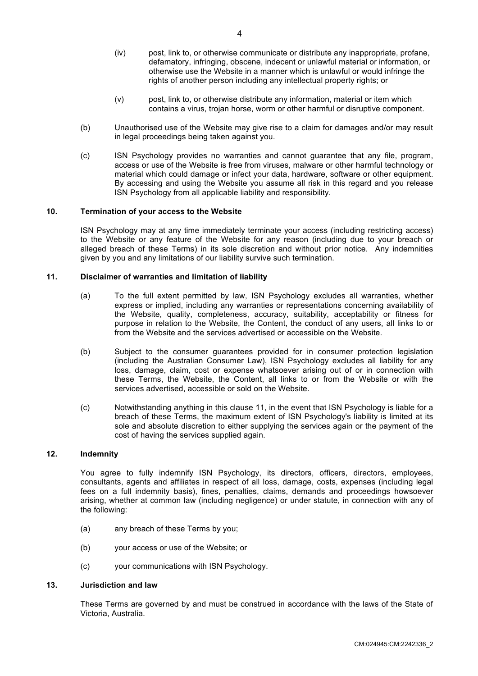- (iv) post, link to, or otherwise communicate or distribute any inappropriate, profane, defamatory, infringing, obscene, indecent or unlawful material or information, or otherwise use the Website in a manner which is unlawful or would infringe the rights of another person including any intellectual property rights; or
- (v) post, link to, or otherwise distribute any information, material or item which contains a virus, trojan horse, worm or other harmful or disruptive component.
- (b) Unauthorised use of the Website may give rise to a claim for damages and/or may result in legal proceedings being taken against you.
- (c) ISN Psychology provides no warranties and cannot guarantee that any file, program, access or use of the Website is free from viruses, malware or other harmful technology or material which could damage or infect your data, hardware, software or other equipment. By accessing and using the Website you assume all risk in this regard and you release ISN Psychology from all applicable liability and responsibility.

## **10. Termination of your access to the Website**

ISN Psychology may at any time immediately terminate your access (including restricting access) to the Website or any feature of the Website for any reason (including due to your breach or alleged breach of these Terms) in its sole discretion and without prior notice. Any indemnities given by you and any limitations of our liability survive such termination.

### **11. Disclaimer of warranties and limitation of liability**

- (a) To the full extent permitted by law, ISN Psychology excludes all warranties, whether express or implied, including any warranties or representations concerning availability of the Website, quality, completeness, accuracy, suitability, acceptability or fitness for purpose in relation to the Website, the Content, the conduct of any users, all links to or from the Website and the services advertised or accessible on the Website.
- (b) Subject to the consumer guarantees provided for in consumer protection legislation (including the Australian Consumer Law), ISN Psychology excludes all liability for any loss, damage, claim, cost or expense whatsoever arising out of or in connection with these Terms, the Website, the Content, all links to or from the Website or with the services advertised, accessible or sold on the Website.
- (c) Notwithstanding anything in this clause 11, in the event that ISN Psychology is liable for a breach of these Terms, the maximum extent of ISN Psychology's liability is limited at its sole and absolute discretion to either supplying the services again or the payment of the cost of having the services supplied again.

# **12. Indemnity**

You agree to fully indemnify ISN Psychology, its directors, officers, directors, employees, consultants, agents and affiliates in respect of all loss, damage, costs, expenses (including legal fees on a full indemnity basis), fines, penalties, claims, demands and proceedings howsoever arising, whether at common law (including negligence) or under statute, in connection with any of the following:

- (a) any breach of these Terms by you;
- (b) your access or use of the Website; or
- (c) your communications with ISN Psychology.

#### **13. Jurisdiction and law**

These Terms are governed by and must be construed in accordance with the laws of the State of Victoria, Australia.